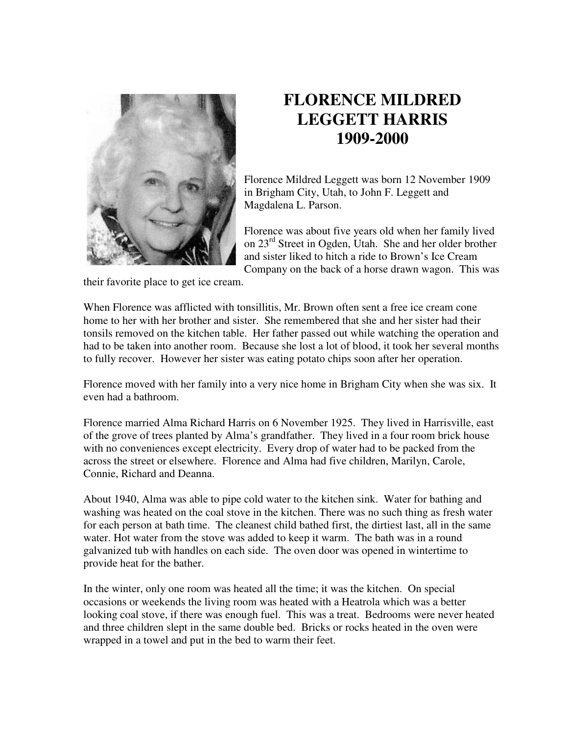

## **FLORENCE MILDRED LEGGETT HARRIS 1909-2000**

Florence Mildred Leggett was born 12 November 1909 in Brigham City, Utah, to John F. Leggett and Magdalena L. Parson.

Florence was about five years old when her family lived on 23rd Street in Ogden, Utah. She and her older brother and sister liked to hitch a ride to Brown's Ice Cream Company on the back of a horse drawn wagon. This was

their favorite place to get ice cream.

When Florence was afflicted with tonsillitis, Mr. Brown often sent a free ice cream cone home to her with her brother and sister. She remembered that she and her sister had their tonsils removed on the kitchen table. Her father passed out while watching the operation and had to be taken into another room. Because she lost a lot of blood, it took her several months to fully recover. However her sister was eating potato chips soon after her operation.

Florence moved with her family into a very nice home in Brigham City when she was six. It even had a bathroom.

Florence married Alma Richard Harris on 6 November 1925. They lived in Harrisville, east of the grove of trees planted by Alma's grandfather. They lived in a four room brick house with no conveniences except electricity. Every drop of water had to be packed from the across the street or elsewhere. Florence and Alma had five children, Marilyn, Carole, Connie, Richard and Deanna.

About 1940, Alma was able to pipe cold water to the kitchen sink. Water for bathing and washing was heated on the coal stove in the kitchen. There was no such thing as fresh water for each person at bath time. The cleanest child bathed first, the dirtiest last, all in the same water. Hot water from the stove was added to keep it warm. The bath was in a round galvanized tub with handles on each side. The oven door was opened in wintertime to provide heat for the bather.

In the winter, only one room was heated all the time; it was the kitchen. On special occasions or weekends the living room was heated with a Heatrola which was a better looking coal stove, if there was enough fuel. This was a treat. Bedrooms were never heated and three children slept in the same double bed. Bricks or rocks heated in the oven were wrapped in a towel and put in the bed to warm their feet.